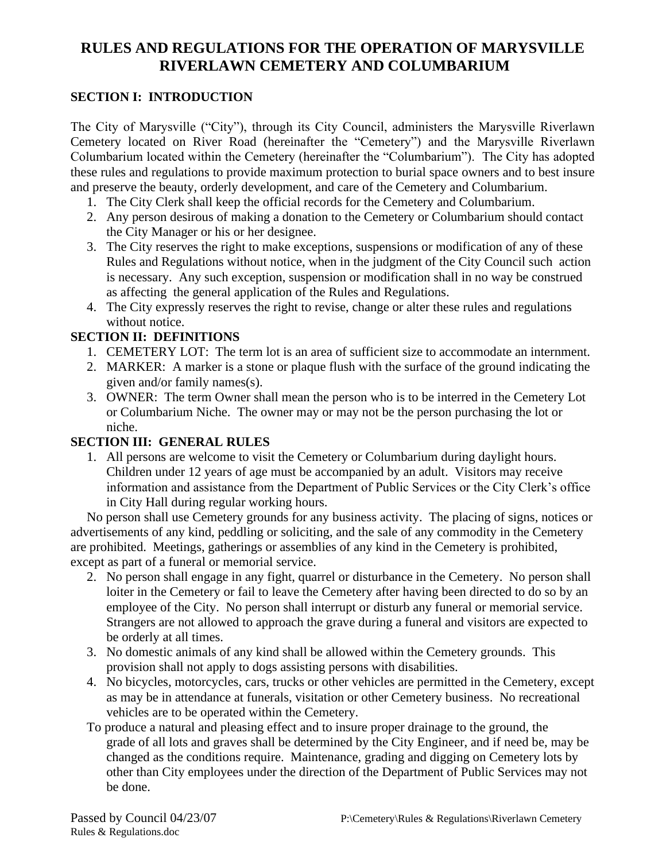# **RULES AND REGULATIONS FOR THE OPERATION OF MARYSVILLE RIVERLAWN CEMETERY AND COLUMBARIUM**

#### **SECTION I: INTRODUCTION**

The City of Marysville ("City"), through its City Council, administers the Marysville Riverlawn Cemetery located on River Road (hereinafter the "Cemetery") and the Marysville Riverlawn Columbarium located within the Cemetery (hereinafter the "Columbarium"). The City has adopted these rules and regulations to provide maximum protection to burial space owners and to best insure and preserve the beauty, orderly development, and care of the Cemetery and Columbarium.

- 1. The City Clerk shall keep the official records for the Cemetery and Columbarium.
- 2. Any person desirous of making a donation to the Cemetery or Columbarium should contact the City Manager or his or her designee.
- 3. The City reserves the right to make exceptions, suspensions or modification of any of these Rules and Regulations without notice, when in the judgment of the City Council such action is necessary. Any such exception, suspension or modification shall in no way be construed as affecting the general application of the Rules and Regulations.
- 4. The City expressly reserves the right to revise, change or alter these rules and regulations without notice.

#### **SECTION II: DEFINITIONS**

- 1. CEMETERY LOT: The term lot is an area of sufficient size to accommodate an internment.
- 2. MARKER: A marker is a stone or plaque flush with the surface of the ground indicating the given and/or family names(s).
- 3. OWNER: The term Owner shall mean the person who is to be interred in the Cemetery Lot or Columbarium Niche. The owner may or may not be the person purchasing the lot or niche.

#### **SECTION III: GENERAL RULES**

1. All persons are welcome to visit the Cemetery or Columbarium during daylight hours. Children under 12 years of age must be accompanied by an adult. Visitors may receive information and assistance from the Department of Public Services or the City Clerk's office in City Hall during regular working hours.

 No person shall use Cemetery grounds for any business activity. The placing of signs, notices or advertisements of any kind, peddling or soliciting, and the sale of any commodity in the Cemetery are prohibited. Meetings, gatherings or assemblies of any kind in the Cemetery is prohibited, except as part of a funeral or memorial service.

- 2. No person shall engage in any fight, quarrel or disturbance in the Cemetery. No person shall loiter in the Cemetery or fail to leave the Cemetery after having been directed to do so by an employee of the City. No person shall interrupt or disturb any funeral or memorial service. Strangers are not allowed to approach the grave during a funeral and visitors are expected to be orderly at all times.
- 3. No domestic animals of any kind shall be allowed within the Cemetery grounds. This provision shall not apply to dogs assisting persons with disabilities.
- 4. No bicycles, motorcycles, cars, trucks or other vehicles are permitted in the Cemetery, except as may be in attendance at funerals, visitation or other Cemetery business. No recreational vehicles are to be operated within the Cemetery.
- To produce a natural and pleasing effect and to insure proper drainage to the ground, the grade of all lots and graves shall be determined by the City Engineer, and if need be, may be changed as the conditions require. Maintenance, grading and digging on Cemetery lots by other than City employees under the direction of the Department of Public Services may not be done.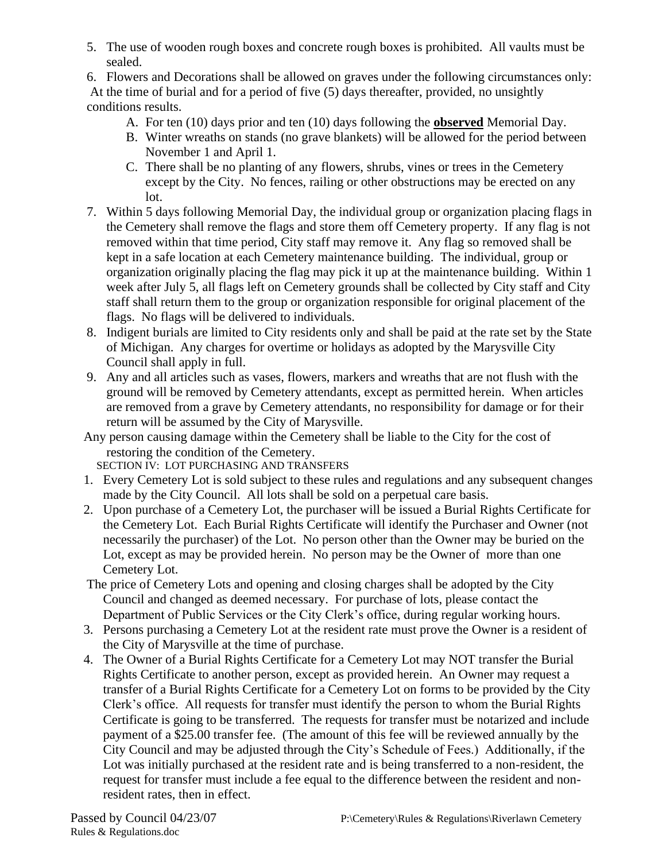5. The use of wooden rough boxes and concrete rough boxes is prohibited. All vaults must be sealed.

6. Flowers and Decorations shall be allowed on graves under the following circumstances only: At the time of burial and for a period of five (5) days thereafter, provided, no unsightly conditions results.

- A. For ten (10) days prior and ten (10) days following the **observed** Memorial Day.
- B. Winter wreaths on stands (no grave blankets) will be allowed for the period between November 1 and April 1.
- C. There shall be no planting of any flowers, shrubs, vines or trees in the Cemetery except by the City. No fences, railing or other obstructions may be erected on any lot.
- 7. Within 5 days following Memorial Day, the individual group or organization placing flags in the Cemetery shall remove the flags and store them off Cemetery property. If any flag is not removed within that time period, City staff may remove it. Any flag so removed shall be kept in a safe location at each Cemetery maintenance building. The individual, group or organization originally placing the flag may pick it up at the maintenance building. Within 1 week after July 5, all flags left on Cemetery grounds shall be collected by City staff and City staff shall return them to the group or organization responsible for original placement of the flags. No flags will be delivered to individuals.
- 8. Indigent burials are limited to City residents only and shall be paid at the rate set by the State of Michigan. Any charges for overtime or holidays as adopted by the Marysville City Council shall apply in full.
- 9. Any and all articles such as vases, flowers, markers and wreaths that are not flush with the ground will be removed by Cemetery attendants, except as permitted herein. When articles are removed from a grave by Cemetery attendants, no responsibility for damage or for their return will be assumed by the City of Marysville.
- Any person causing damage within the Cemetery shall be liable to the City for the cost of restoring the condition of the Cemetery.

SECTION IV: LOT PURCHASING AND TRANSFERS

- 1. Every Cemetery Lot is sold subject to these rules and regulations and any subsequent changes made by the City Council. All lots shall be sold on a perpetual care basis.
- 2. Upon purchase of a Cemetery Lot, the purchaser will be issued a Burial Rights Certificate for the Cemetery Lot. Each Burial Rights Certificate will identify the Purchaser and Owner (not necessarily the purchaser) of the Lot. No person other than the Owner may be buried on the Lot, except as may be provided herein. No person may be the Owner of more than one Cemetery Lot.
- The price of Cemetery Lots and opening and closing charges shall be adopted by the City Council and changed as deemed necessary. For purchase of lots, please contact the Department of Public Services or the City Clerk's office, during regular working hours.
- 3. Persons purchasing a Cemetery Lot at the resident rate must prove the Owner is a resident of the City of Marysville at the time of purchase.
- 4. The Owner of a Burial Rights Certificate for a Cemetery Lot may NOT transfer the Burial Rights Certificate to another person, except as provided herein. An Owner may request a transfer of a Burial Rights Certificate for a Cemetery Lot on forms to be provided by the City Clerk's office. All requests for transfer must identify the person to whom the Burial Rights Certificate is going to be transferred. The requests for transfer must be notarized and include payment of a \$25.00 transfer fee. (The amount of this fee will be reviewed annually by the City Council and may be adjusted through the City's Schedule of Fees.) Additionally, if the Lot was initially purchased at the resident rate and is being transferred to a non-resident, the request for transfer must include a fee equal to the difference between the resident and nonresident rates, then in effect.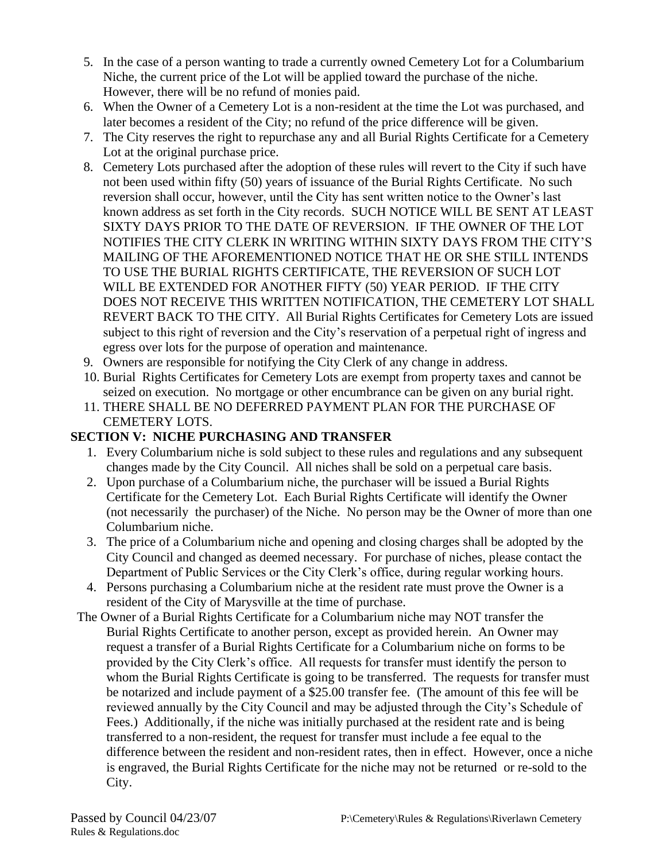- 5. In the case of a person wanting to trade a currently owned Cemetery Lot for a Columbarium Niche, the current price of the Lot will be applied toward the purchase of the niche. However, there will be no refund of monies paid.
- 6. When the Owner of a Cemetery Lot is a non-resident at the time the Lot was purchased, and later becomes a resident of the City; no refund of the price difference will be given.
- 7. The City reserves the right to repurchase any and all Burial Rights Certificate for a Cemetery Lot at the original purchase price.
- 8. Cemetery Lots purchased after the adoption of these rules will revert to the City if such have not been used within fifty (50) years of issuance of the Burial Rights Certificate. No such reversion shall occur, however, until the City has sent written notice to the Owner's last known address as set forth in the City records. SUCH NOTICE WILL BE SENT AT LEAST SIXTY DAYS PRIOR TO THE DATE OF REVERSION. IF THE OWNER OF THE LOT NOTIFIES THE CITY CLERK IN WRITING WITHIN SIXTY DAYS FROM THE CITY'S MAILING OF THE AFOREMENTIONED NOTICE THAT HE OR SHE STILL INTENDS TO USE THE BURIAL RIGHTS CERTIFICATE, THE REVERSION OF SUCH LOT WILL BE EXTENDED FOR ANOTHER FIFTY (50) YEAR PERIOD. IF THE CITY DOES NOT RECEIVE THIS WRITTEN NOTIFICATION, THE CEMETERY LOT SHALL REVERT BACK TO THE CITY. All Burial Rights Certificates for Cemetery Lots are issued subject to this right of reversion and the City's reservation of a perpetual right of ingress and egress over lots for the purpose of operation and maintenance.
- 9. Owners are responsible for notifying the City Clerk of any change in address.
- 10. Burial Rights Certificates for Cemetery Lots are exempt from property taxes and cannot be seized on execution. No mortgage or other encumbrance can be given on any burial right.
- 11. THERE SHALL BE NO DEFERRED PAYMENT PLAN FOR THE PURCHASE OF CEMETERY LOTS.

## **SECTION V: NICHE PURCHASING AND TRANSFER**

- 1. Every Columbarium niche is sold subject to these rules and regulations and any subsequent changes made by the City Council. All niches shall be sold on a perpetual care basis.
- 2. Upon purchase of a Columbarium niche, the purchaser will be issued a Burial Rights Certificate for the Cemetery Lot. Each Burial Rights Certificate will identify the Owner (not necessarily the purchaser) of the Niche. No person may be the Owner of more than one Columbarium niche.
- 3. The price of a Columbarium niche and opening and closing charges shall be adopted by the City Council and changed as deemed necessary. For purchase of niches, please contact the Department of Public Services or the City Clerk's office, during regular working hours.
- 4. Persons purchasing a Columbarium niche at the resident rate must prove the Owner is a resident of the City of Marysville at the time of purchase.
- The Owner of a Burial Rights Certificate for a Columbarium niche may NOT transfer the Burial Rights Certificate to another person, except as provided herein. An Owner may request a transfer of a Burial Rights Certificate for a Columbarium niche on forms to be provided by the City Clerk's office. All requests for transfer must identify the person to whom the Burial Rights Certificate is going to be transferred. The requests for transfer must be notarized and include payment of a \$25.00 transfer fee. (The amount of this fee will be reviewed annually by the City Council and may be adjusted through the City's Schedule of Fees.) Additionally, if the niche was initially purchased at the resident rate and is being transferred to a non-resident, the request for transfer must include a fee equal to the difference between the resident and non-resident rates, then in effect. However, once a niche is engraved, the Burial Rights Certificate for the niche may not be returned or re-sold to the City.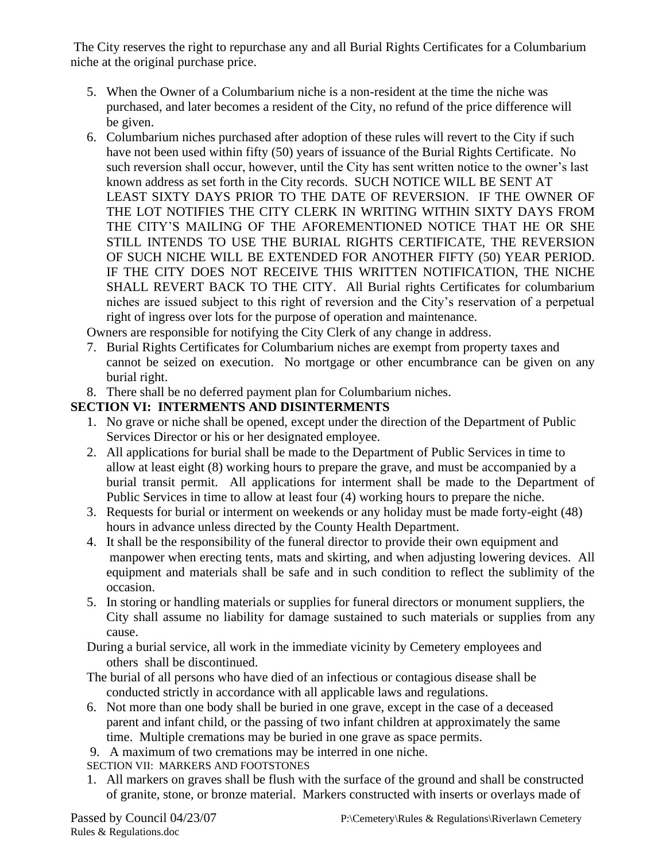The City reserves the right to repurchase any and all Burial Rights Certificates for a Columbarium niche at the original purchase price.

- 5. When the Owner of a Columbarium niche is a non-resident at the time the niche was purchased, and later becomes a resident of the City, no refund of the price difference will be given.
- 6. Columbarium niches purchased after adoption of these rules will revert to the City if such have not been used within fifty (50) years of issuance of the Burial Rights Certificate. No such reversion shall occur, however, until the City has sent written notice to the owner's last known address as set forth in the City records. SUCH NOTICE WILL BE SENT AT LEAST SIXTY DAYS PRIOR TO THE DATE OF REVERSION. IF THE OWNER OF THE LOT NOTIFIES THE CITY CLERK IN WRITING WITHIN SIXTY DAYS FROM THE CITY'S MAILING OF THE AFOREMENTIONED NOTICE THAT HE OR SHE STILL INTENDS TO USE THE BURIAL RIGHTS CERTIFICATE, THE REVERSION OF SUCH NICHE WILL BE EXTENDED FOR ANOTHER FIFTY (50) YEAR PERIOD. IF THE CITY DOES NOT RECEIVE THIS WRITTEN NOTIFICATION, THE NICHE SHALL REVERT BACK TO THE CITY. All Burial rights Certificates for columbarium niches are issued subject to this right of reversion and the City's reservation of a perpetual right of ingress over lots for the purpose of operation and maintenance.

Owners are responsible for notifying the City Clerk of any change in address.

- 7. Burial Rights Certificates for Columbarium niches are exempt from property taxes and cannot be seized on execution. No mortgage or other encumbrance can be given on any burial right.
- 8. There shall be no deferred payment plan for Columbarium niches.

# **SECTION VI: INTERMENTS AND DISINTERMENTS**

- 1. No grave or niche shall be opened, except under the direction of the Department of Public Services Director or his or her designated employee.
- 2. All applications for burial shall be made to the Department of Public Services in time to allow at least eight (8) working hours to prepare the grave, and must be accompanied by a burial transit permit. All applications for interment shall be made to the Department of Public Services in time to allow at least four (4) working hours to prepare the niche.
- 3. Requests for burial or interment on weekends or any holiday must be made forty-eight (48) hours in advance unless directed by the County Health Department.
- 4. It shall be the responsibility of the funeral director to provide their own equipment and manpower when erecting tents, mats and skirting, and when adjusting lowering devices. All equipment and materials shall be safe and in such condition to reflect the sublimity of the occasion.
- 5. In storing or handling materials or supplies for funeral directors or monument suppliers, the City shall assume no liability for damage sustained to such materials or supplies from any cause.

 During a burial service, all work in the immediate vicinity by Cemetery employees and others shall be discontinued.

- The burial of all persons who have died of an infectious or contagious disease shall be conducted strictly in accordance with all applicable laws and regulations.
- 6. Not more than one body shall be buried in one grave, except in the case of a deceased parent and infant child, or the passing of two infant children at approximately the same time. Multiple cremations may be buried in one grave as space permits.
- 9. A maximum of two cremations may be interred in one niche.

SECTION VII: MARKERS AND FOOTSTONES

1. All markers on graves shall be flush with the surface of the ground and shall be constructed of granite, stone, or bronze material. Markers constructed with inserts or overlays made of